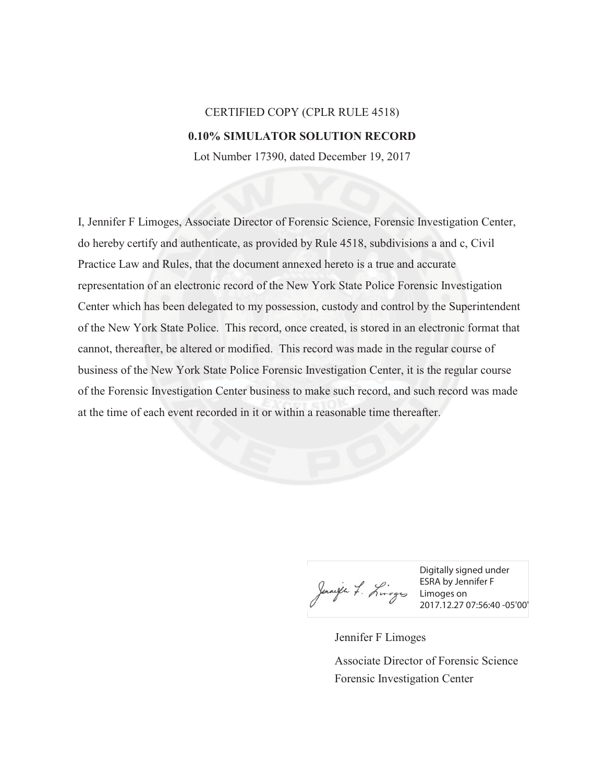## CERTIFIED COPY (CPLR RULE 4518) **0.10% SIMULATOR SOLUTION RECORD**

Lot Number 17390, dated December 19, 2017

I, Jennifer F Limoges, Associate Director of Forensic Science, Forensic Investigation Center, do hereby certify and authenticate, as provided by Rule 4518, subdivisions a and c, Civil Practice Law and Rules, that the document annexed hereto is a true and accurate representation of an electronic record of the New York State Police Forensic Investigation Center which has been delegated to my possession, custody and control by the Superintendent of the New York State Police. This record, once created, is stored in an electronic format that cannot, thereafter, be altered or modified. This record was made in the regular course of business of the New York State Police Forensic Investigation Center, it is the regular course of the Forensic Investigation Center business to make such record, and such record was made at the time of each event recorded in it or within a reasonable time thereafter.

Jannife 7. Limoges Limoges on

Digitally signed under ESRA by Jennifer F 2017.12.27 07:56:40 -05'00'

Jennifer F Limoges Forensic Investigation Center Associate Director of Forensic Science